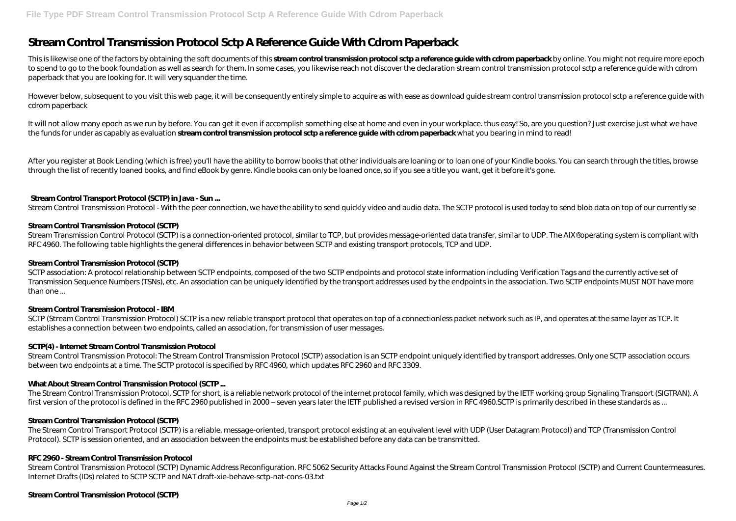# **Stream Control Transmission Protocol Sctp A Reference Guide With Cdrom Paperback**

This is likewise one of the factors by obtaining the soft documents of this **stream control transmission protocol sctp a reference guide with cdrom paperback** by online. You might not require more epoch to spend to go to the book foundation as well as search for them. In some cases, you likewise reach not discover the declaration stream control transmission protocol sctp a reference guide with cdrom paperback that you are looking for. It will very squander the time.

However below, subsequent to you visit this web page, it will be consequently entirely simple to acquire as with ease as download quide stream control transmission protocol sctp a reference quide with cdrom paperback

After you register at Book Lending (which is free) you'll have the ability to borrow books that other individuals are loaning or to loan one of your Kindle books. You can search through the titles, browse through the list of recently loaned books, and find eBook by genre. Kindle books can only be loaned once, so if you see a title you want, get it before it's gone.

It will not allow many epoch as we run by before. You can get it even if accomplish something else at home and even in your workplace. thus easy! So, are you question? Just exercise just what we have the funds for under as capably as evaluation **stream control transmission protocol sctp a reference guide with cdrom paperback** what you bearing in mind to read!

Stream Transmission Control Protocol (SCTP) is a connection-oriented protocol, similar to TCP, but provides message-oriented data transfer, similar to UDP. The AIX® operating system is compliant with RFC 4960. The following table highlights the general differences in behavior between SCTP and existing transport protocols, TCP and UDP.

SCTP association: A protocol relationship between SCTP endpoints, composed of the two SCTP endpoints and protocol state information including Verification Tags and the currently active set of Transmission Sequence Numbers (TSNs), etc. An association can be uniquely identified by the transport addresses used by the endpoints in the association. Two SCTP endpoints MUST NOT have more than one ...

SCTP (Stream Control Transmission Protocol) SCTP is a new reliable transport protocol that operates on top of a connectionless packet network such as IP, and operates at the same layer as TCP. It establishes a connection between two endpoints, called an association, for transmission of user messages.

# **Stream Control Transport Protocol (SCTP) in Java - Sun ...**

Stream Control Transmission Protocol - With the peer connection, we have the ability to send quickly video and audio data. The SCTP protocol is used today to send blob data on top of our currently se

The Stream Control Transmission Protocol, SCTP for short, is a reliable network protocol of the internet protocol family, which was designed by the IETF working group Signaling Transport (SIGTRAN). A first version of the protocol is defined in the RFC 2960 published in 2000 – seven years later the IETF published a revised version in RFC 4960.SCTP is primarily described in these standards as ...

# **Stream Control Transmission Protocol (SCTP)**

#### **Stream Control Transmission Protocol (SCTP)**

#### **Stream Control Transmission Protocol - IBM**

#### **SCTP(4) - Internet Stream Control Transmission Protocol**

Stream Control Transmission Protocol: The Stream Control Transmission Protocol (SCTP) association is an SCTP endpoint uniquely identified by transport addresses. Only one SCTP association occurs between two endpoints at a time. The SCTP protocol is specified by RFC 4960, which updates RFC 2960 and RFC 3309.

# **What About Stream Control Transmission Protocol (SCTP ...**

#### **Stream Control Transmission Protocol (SCTP)**

The Stream Control Transport Protocol (SCTP) is a reliable, message-oriented, transport protocol existing at an equivalent level with UDP (User Datagram Protocol) and TCP (Transmission Control Protocol). SCTP is session oriented, and an association between the endpoints must be established before any data can be transmitted.

#### **RFC 2960 - Stream Control Transmission Protocol**

Stream Control Transmission Protocol (SCTP) Dynamic Address Reconfiguration. RFC 5062 Security Attacks Found Against the Stream Control Transmission Protocol (SCTP) and Current Countermeasures. Internet Drafts (IDs) related to SCTP SCTP and NAT draft-xie-behave-sctp-nat-cons-03.txt

#### **Stream Control Transmission Protocol (SCTP)**